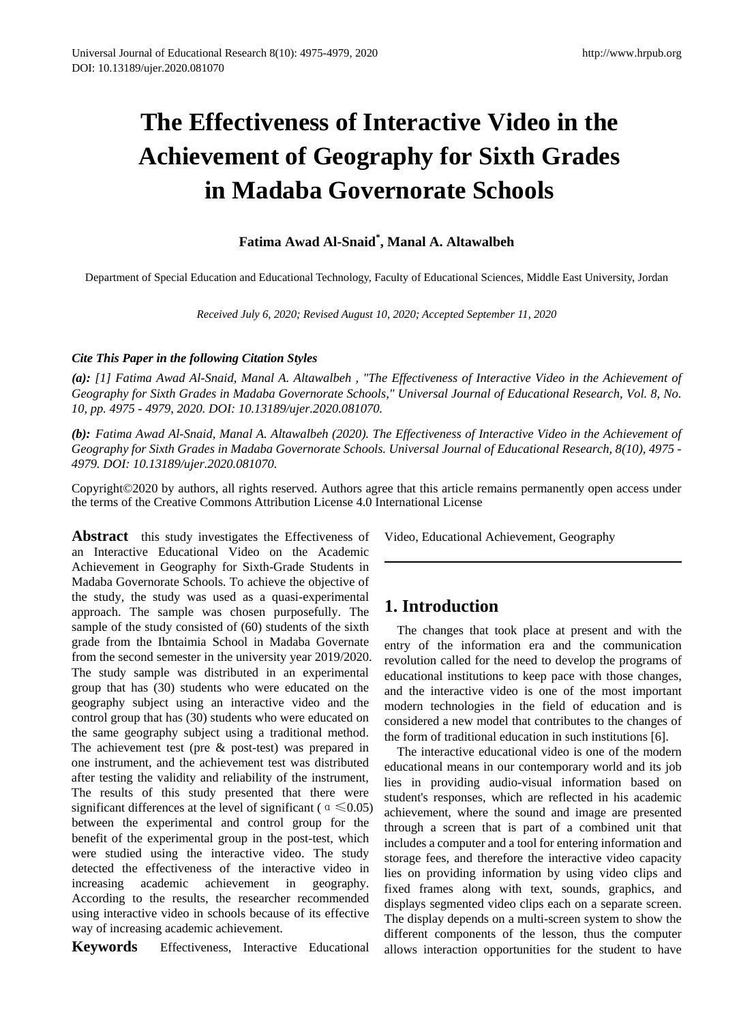# **The Effectiveness of Interactive Video in the Achievement of Geography for Sixth Grades in Madaba Governorate Schools**

## **Fatima Awad Al-Snaid\* , Manal A. Altawalbeh**

Department of Special Education and Educational Technology, Faculty of Educational Sciences, Middle East University, Jordan

*Received July 6, 2020; Revised August 10, 2020; Accepted September 11, 2020*

#### *Cite This Paper in the following Citation Styles*

*(a): [1] Fatima Awad Al-Snaid, Manal A. Altawalbeh , "The Effectiveness of Interactive Video in the Achievement of Geography for Sixth Grades in Madaba Governorate Schools," Universal Journal of Educational Research, Vol. 8, No. 10, pp. 4975 - 4979, 2020. DOI: 10.13189/ujer.2020.081070.* 

*(b): Fatima Awad Al-Snaid, Manal A. Altawalbeh (2020). The Effectiveness of Interactive Video in the Achievement of Geography for Sixth Grades in Madaba Governorate Schools. Universal Journal of Educational Research, 8(10), 4975 - 4979. DOI: 10.13189/ujer.2020.081070.* 

Copyright©2020 by authors, all rights reserved. Authors agree that this article remains permanently open access under the terms of the Creative Commons Attribution License 4.0 International License

Abstract this study investigates the Effectiveness of an Interactive Educational Video on the Academic Achievement in Geography for Sixth-Grade Students in Madaba Governorate Schools. To achieve the objective of the study, the study was used as a quasi-experimental approach. The sample was chosen purposefully. The sample of the study consisted of (60) students of the sixth grade from the Ibntaimia School in Madaba Governate from the second semester in the university year 2019/2020. The study sample was distributed in an experimental group that has (30) students who were educated on the geography subject using an interactive video and the control group that has (30) students who were educated on the same geography subject using a traditional method. The achievement test (pre & post-test) was prepared in one instrument, and the achievement test was distributed after testing the validity and reliability of the instrument, The results of this study presented that there were significant differences at the level of significant ( $\alpha \le 0.05$ ) between the experimental and control group for the benefit of the experimental group in the post-test, which were studied using the interactive video. The study detected the effectiveness of the interactive video in increasing academic achievement in geography. According to the results, the researcher recommended using interactive video in schools because of its effective way of increasing academic achievement.

**Keywords** Effectiveness, Interactive Educational

Video, Educational Achievement, Geography

## **1. Introduction**

The changes that took place at present and with the entry of the information era and the communication revolution called for the need to develop the programs of educational institutions to keep pace with those changes, and the interactive video is one of the most important modern technologies in the field of education and is considered a new model that contributes to the changes of the form of traditional education in such institutions [6].

The interactive educational video is one of the modern educational means in our contemporary world and its job lies in providing audio-visual information based on student's responses, which are reflected in his academic achievement, where the sound and image are presented through a screen that is part of a combined unit that includes a computer and a tool for entering information and storage fees, and therefore the interactive video capacity lies on providing information by using video clips and fixed frames along with text, sounds, graphics, and displays segmented video clips each on a separate screen. The display depends on a multi-screen system to show the different components of the lesson, thus the computer allows interaction opportunities for the student to have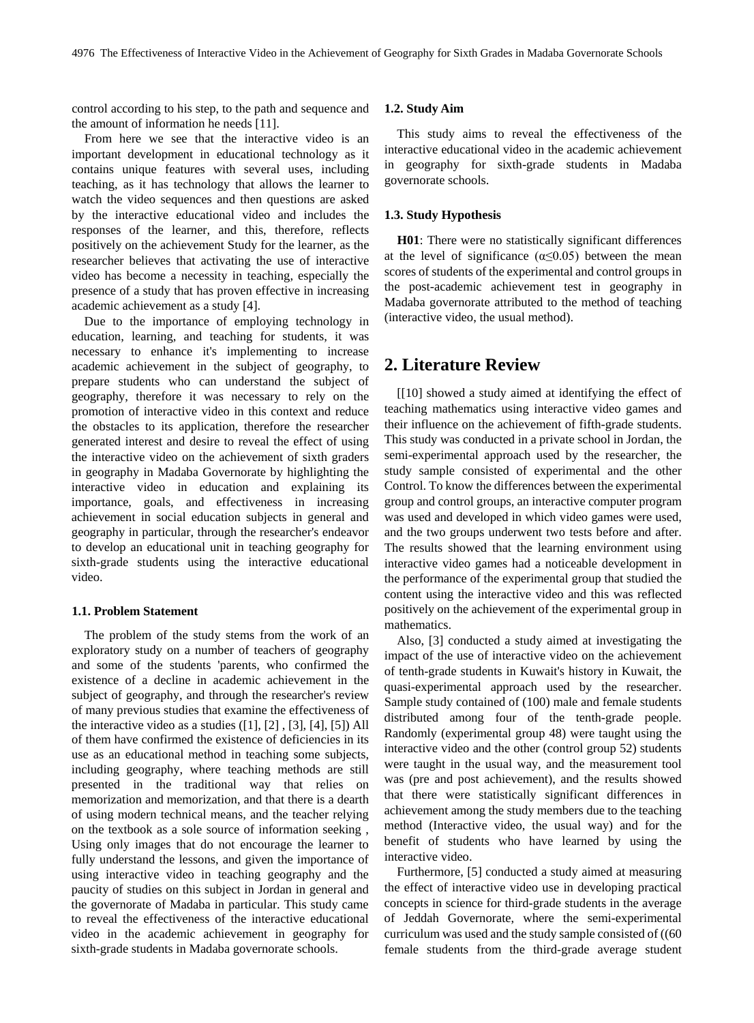control according to his step, to the path and sequence and the amount of information he needs [11].

From here we see that the interactive video is an important development in educational technology as it contains unique features with several uses, including teaching, as it has technology that allows the learner to watch the video sequences and then questions are asked by the interactive educational video and includes the responses of the learner, and this, therefore, reflects positively on the achievement Study for the learner, as the researcher believes that activating the use of interactive video has become a necessity in teaching, especially the presence of a study that has proven effective in increasing academic achievement as a study [4].

Due to the importance of employing technology in education, learning, and teaching for students, it was necessary to enhance it's implementing to increase academic achievement in the subject of geography, to prepare students who can understand the subject of geography, therefore it was necessary to rely on the promotion of interactive video in this context and reduce the obstacles to its application, therefore the researcher generated interest and desire to reveal the effect of using the interactive video on the achievement of sixth graders in geography in Madaba Governorate by highlighting the interactive video in education and explaining its importance, goals, and effectiveness in increasing achievement in social education subjects in general and geography in particular, through the researcher's endeavor to develop an educational unit in teaching geography for sixth-grade students using the interactive educational video.

#### **1.1. Problem Statement**

The problem of the study stems from the work of an exploratory study on a number of teachers of geography and some of the students 'parents, who confirmed the existence of a decline in academic achievement in the subject of geography, and through the researcher's review of many previous studies that examine the effectiveness of the interactive video as a studies ([1], [2] , [3], [4], [5]) All of them have confirmed the existence of deficiencies in its use as an educational method in teaching some subjects, including geography, where teaching methods are still presented in the traditional way that relies on memorization and memorization, and that there is a dearth of using modern technical means, and the teacher relying on the textbook as a sole source of information seeking , Using only images that do not encourage the learner to fully understand the lessons, and given the importance of using interactive video in teaching geography and the paucity of studies on this subject in Jordan in general and the governorate of Madaba in particular. This study came to reveal the effectiveness of the interactive educational video in the academic achievement in geography for sixth-grade students in Madaba governorate schools.

#### **1.2. Study Aim**

This study aims to reveal the effectiveness of the interactive educational video in the academic achievement in geography for sixth-grade students in Madaba governorate schools.

#### **1.3. Study Hypothesis**

**H01**: There were no statistically significant differences at the level of significance  $(\alpha \le 0.05)$  between the mean scores of students of the experimental and control groups in the post-academic achievement test in geography in Madaba governorate attributed to the method of teaching (interactive video, the usual method).

## **2. Literature Review**

[[10] showed a study aimed at identifying the effect of teaching mathematics using interactive video games and their influence on the achievement of fifth-grade students. This study was conducted in a private school in Jordan, the semi-experimental approach used by the researcher, the study sample consisted of experimental and the other Control. To know the differences between the experimental group and control groups, an interactive computer program was used and developed in which video games were used, and the two groups underwent two tests before and after. The results showed that the learning environment using interactive video games had a noticeable development in the performance of the experimental group that studied the content using the interactive video and this was reflected positively on the achievement of the experimental group in mathematics.

Also, [3] conducted a study aimed at investigating the impact of the use of interactive video on the achievement of tenth-grade students in Kuwait's history in Kuwait, the quasi-experimental approach used by the researcher. Sample study contained of (100) male and female students distributed among four of the tenth-grade people. Randomly (experimental group 48) were taught using the interactive video and the other (control group 52) students were taught in the usual way, and the measurement tool was (pre and post achievement), and the results showed that there were statistically significant differences in achievement among the study members due to the teaching method (Interactive video, the usual way) and for the benefit of students who have learned by using the interactive video.

Furthermore, [5] conducted a study aimed at measuring the effect of interactive video use in developing practical concepts in science for third-grade students in the average of Jeddah Governorate, where the semi-experimental curriculum was used and the study sample consisted of ((60 female students from the third-grade average student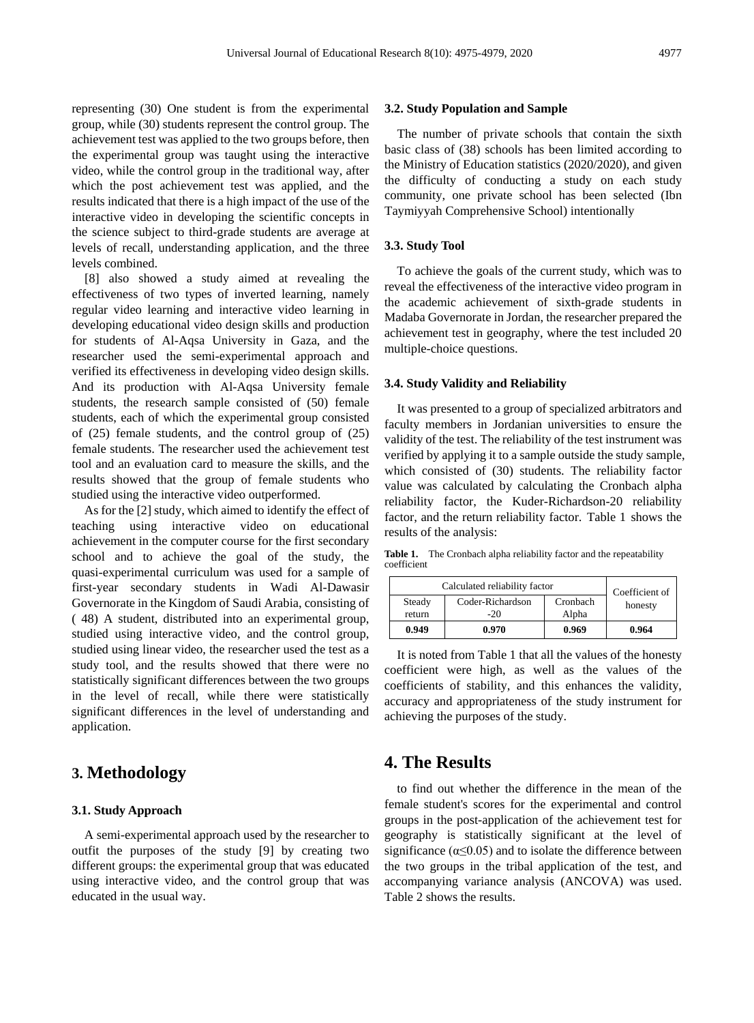group, while (30) students represent the control group. The achievement test was applied to the two groups before, then the experimental group was taught using the interactive video, while the control group in the traditional way, after which the post achievement test was applied, and the results indicated that there is a high impact of the use of the interactive video in developing the scientific concepts in the science subject to third-grade students are average at levels of recall, understanding application, and the three levels combined.

[8] also showed a study aimed at revealing the effectiveness of two types of inverted learning, namely regular video learning and interactive video learning in developing educational video design skills and production for students of Al-Aqsa University in Gaza, and the researcher used the semi-experimental approach and verified its effectiveness in developing video design skills. And its production with Al-Aqsa University female students, the research sample consisted of (50) female students, each of which the experimental group consisted of (25) female students, and the control group of (25) female students. The researcher used the achievement test tool and an evaluation card to measure the skills, and the results showed that the group of female students who studied using the interactive video outperformed.

As for the [2] study, which aimed to identify the effect of teaching using interactive video on educational achievement in the computer course for the first secondary school and to achieve the goal of the study, the quasi-experimental curriculum was used for a sample of first-year secondary students in Wadi Al-Dawasir Governorate in the Kingdom of Saudi Arabia, consisting of ( 48) A student, distributed into an experimental group, studied using interactive video, and the control group, studied using linear video, the researcher used the test as a study tool, and the results showed that there were no statistically significant differences between the two groups in the level of recall, while there were statistically significant differences in the level of understanding and application.

## **3. Methodology**

#### **3.1. Study Approach**

A semi-experimental approach used by the researcher to outfit the purposes of the study [9] by creating two different groups: the experimental group that was educated using interactive video, and the control group that was educated in the usual way.

#### **3.2. Study Population and Sample**

The number of private schools that contain the sixth basic class of (38) schools has been limited according to the Ministry of Education statistics (2020/2020), and given the difficulty of conducting a study on each study community, one private school has been selected (Ibn Taymiyyah Comprehensive School) intentionally

#### **3.3. Study Tool**

To achieve the goals of the current study, which was to reveal the effectiveness of the interactive video program in the academic achievement of sixth-grade students in Madaba Governorate in Jordan, the researcher prepared the achievement test in geography, where the test included 20 multiple-choice questions.

#### **3.4. Study Validity and Reliability**

It was presented to a group of specialized arbitrators and faculty members in Jordanian universities to ensure the validity of the test. The reliability of the test instrument was verified by applying it to a sample outside the study sample, which consisted of (30) students. The reliability factor value was calculated by calculating the Cronbach alpha reliability factor, the Kuder-Richardson-20 reliability factor, and the return reliability factor. Table 1 shows the results of the analysis:

**Table 1.** The Cronbach alpha reliability factor and the repeatability coefficient

| Calculated reliability factor | Coefficient of            |                   |         |  |
|-------------------------------|---------------------------|-------------------|---------|--|
| Steady<br>return              | Coder-Richardson<br>$-20$ | Cronbach<br>Alpha | honesty |  |
| 0.949                         | 0.970                     | 0.969             | 0.964   |  |

It is noted from Table 1 that all the values of the honesty coefficient were high, as well as the values of the coefficients of stability, and this enhances the validity, accuracy and appropriateness of the study instrument for achieving the purposes of the study.

## **4. The Results**

to find out whether the difference in the mean of the female student's scores for the experimental and control groups in the post-application of the achievement test for geography is statistically significant at the level of significance ( $\alpha \leq 0.05$ ) and to isolate the difference between the two groups in the tribal application of the test, and accompanying variance analysis (ANCOVA) was used. Table 2 shows the results.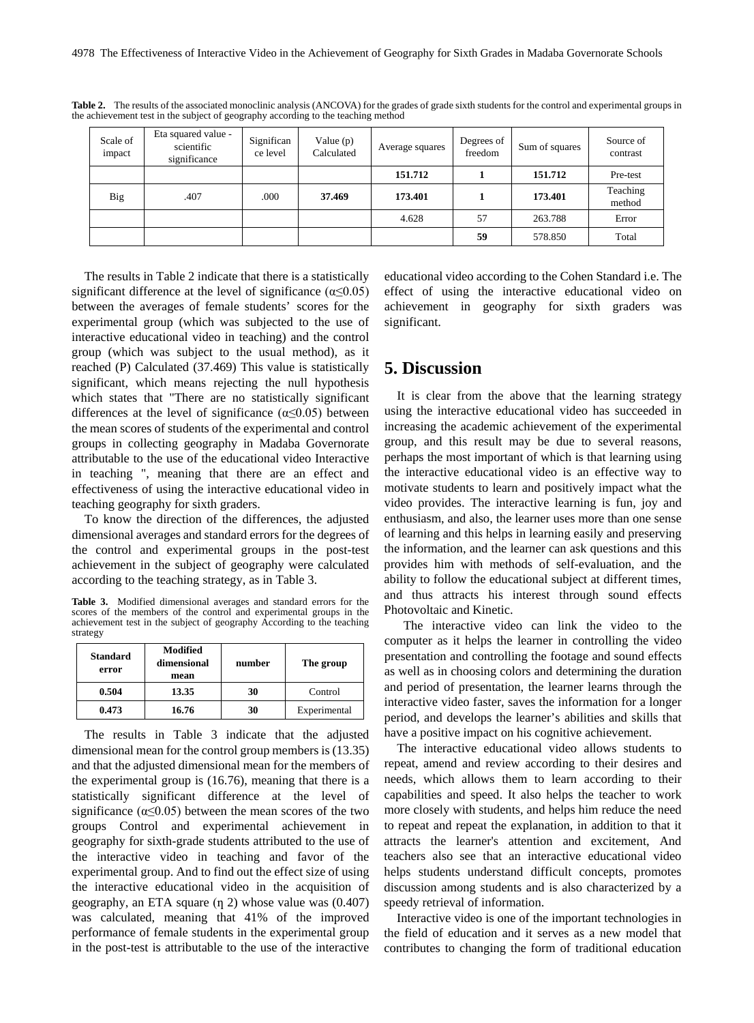| Scale of<br>impact | Eta squared value -<br>scientific<br>significance | Significan<br>ce level | Value $(p)$<br>Calculated | Average squares | Degrees of<br>freedom | Sum of squares | Source of<br>contrast |
|--------------------|---------------------------------------------------|------------------------|---------------------------|-----------------|-----------------------|----------------|-----------------------|
|                    |                                                   |                        |                           | 151.712         |                       | 151.712        | Pre-test              |
| <b>Big</b>         | .407                                              | .000                   | 37.469                    | 173.401         |                       | 173.401        | Teaching<br>method    |
|                    |                                                   |                        |                           | 4.628           | 57                    | 263.788        | Error                 |
|                    |                                                   |                        |                           |                 | 59                    | 578.850        | Total                 |

Table 2. The results of the associated monoclinic analysis (ANCOVA) for the grades of grade sixth students for the control and experimental groups in the achievement test in the subject of geography according to the teaching method

The results in Table 2 indicate that there is a statistically significant difference at the level of significance  $(\alpha \le 0.05)$ between the averages of female students' scores for the experimental group (which was subjected to the use of interactive educational video in teaching) and the control group (which was subject to the usual method), as it reached (P) Calculated (37.469) This value is statistically significant, which means rejecting the null hypothesis which states that "There are no statistically significant differences at the level of significance ( $\alpha \leq 0.05$ ) between the mean scores of students of the experimental and control groups in collecting geography in Madaba Governorate attributable to the use of the educational video Interactive in teaching ", meaning that there are an effect and effectiveness of using the interactive educational video in teaching geography for sixth graders.

To know the direction of the differences, the adjusted dimensional averages and standard errors for the degrees of the control and experimental groups in the post-test achievement in the subject of geography were calculated according to the teaching strategy, as in Table 3.

**Table 3.** Modified dimensional averages and standard errors for the scores of the members of the control and experimental groups in the achievement test in the subject of geography According to the teaching strategy

| <b>Standard</b><br>error | Modified<br>dimensional<br>mean | number | The group    |
|--------------------------|---------------------------------|--------|--------------|
| 0.504                    | 13.35                           | 30     | Control      |
| 0.473                    | 16.76                           | 30     | Experimental |

The results in Table 3 indicate that the adjusted dimensional mean for the control group members is (13.35) and that the adjusted dimensional mean for the members of the experimental group is (16.76), meaning that there is a statistically significant difference at the level of significance  $(\alpha \le 0.05)$  between the mean scores of the two groups Control and experimental achievement in geography for sixth-grade students attributed to the use of the interactive video in teaching and favor of the experimental group. And to find out the effect size of using the interactive educational video in the acquisition of geography, an ETA square  $(\eta 2)$  whose value was  $(0.407)$ was calculated, meaning that 41% of the improved performance of female students in the experimental group in the post-test is attributable to the use of the interactive

educational video according to the Cohen Standard i.e. The effect of using the interactive educational video on achievement in geography for sixth graders was significant.

## **5. Discussion**

It is clear from the above that the learning strategy using the interactive educational video has succeeded in increasing the academic achievement of the experimental group, and this result may be due to several reasons, perhaps the most important of which is that learning using the interactive educational video is an effective way to motivate students to learn and positively impact what the video provides. The interactive learning is fun, joy and enthusiasm, and also, the learner uses more than one sense of learning and this helps in learning easily and preserving the information, and the learner can ask questions and this provides him with methods of self-evaluation, and the ability to follow the educational subject at different times, and thus attracts his interest through sound effects Photovoltaic and Kinetic.

The interactive video can link the video to the computer as it helps the learner in controlling the video presentation and controlling the footage and sound effects as well as in choosing colors and determining the duration and period of presentation, the learner learns through the interactive video faster, saves the information for a longer period, and develops the learner's abilities and skills that have a positive impact on his cognitive achievement.

The interactive educational video allows students to repeat, amend and review according to their desires and needs, which allows them to learn according to their capabilities and speed. It also helps the teacher to work more closely with students, and helps him reduce the need to repeat and repeat the explanation, in addition to that it attracts the learner's attention and excitement, And teachers also see that an interactive educational video helps students understand difficult concepts, promotes discussion among students and is also characterized by a speedy retrieval of information.

Interactive video is one of the important technologies in the field of education and it serves as a new model that contributes to changing the form of traditional education